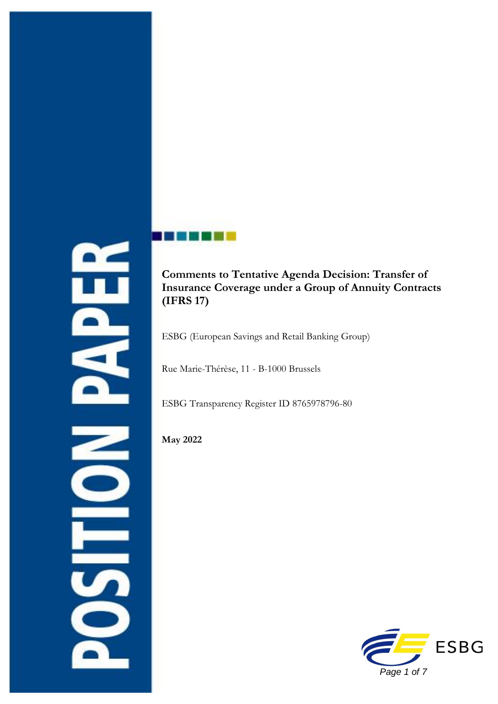



**Comments to Tentative Agenda Decision: Transfer of Insurance Coverage under a Group of Annuity Contracts (IFRS 17)** 

ESBG (European Savings and Retail Banking Group)

Rue Marie-Thérèse, 11 - B-1000 Brussels

ESBG Transparency Register ID 8765978796-80

**May 2022**

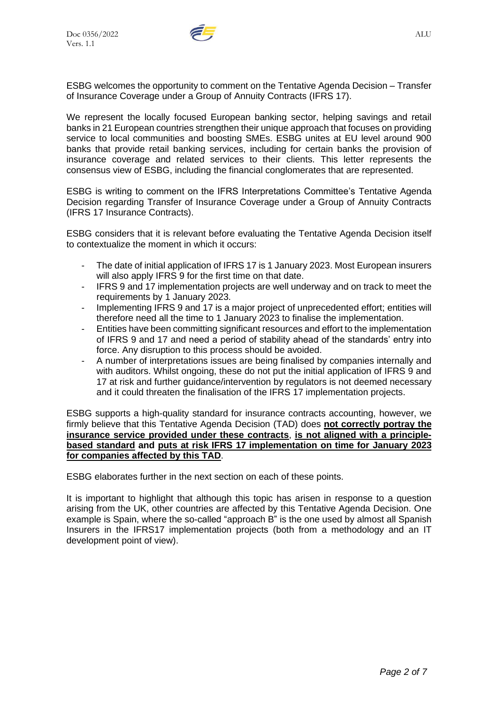

ESBG welcomes the opportunity to comment on the Tentative Agenda Decision – Transfer of Insurance Coverage under a Group of Annuity Contracts (IFRS 17).

We represent the locally focused European banking sector, helping savings and retail banks in 21 European countries strengthen their unique approach that focuses on providing service to local communities and boosting SMEs. ESBG unites at EU level around 900 banks that provide retail banking services, including for certain banks the provision of insurance coverage and related services to their clients. This letter represents the consensus view of ESBG, including the financial conglomerates that are represented.

ESBG is writing to comment on the IFRS Interpretations Committee's Tentative Agenda Decision regarding Transfer of Insurance Coverage under a Group of Annuity Contracts (IFRS 17 Insurance Contracts).

ESBG considers that it is relevant before evaluating the Tentative Agenda Decision itself to contextualize the moment in which it occurs:

- The date of initial application of IFRS 17 is 1 January 2023. Most European insurers will also apply IFRS 9 for the first time on that date.
- IFRS 9 and 17 implementation projects are well underway and on track to meet the requirements by 1 January 2023.
- Implementing IFRS 9 and 17 is a major project of unprecedented effort; entities will therefore need all the time to 1 January 2023 to finalise the implementation.
- Entities have been committing significant resources and effort to the implementation of IFRS 9 and 17 and need a period of stability ahead of the standards' entry into force. Any disruption to this process should be avoided.
- A number of interpretations issues are being finalised by companies internally and with auditors. Whilst ongoing, these do not put the initial application of IFRS 9 and 17 at risk and further guidance/intervention by regulators is not deemed necessary and it could threaten the finalisation of the IFRS 17 implementation projects.

ESBG supports a high-quality standard for insurance contracts accounting, however, we firmly believe that this Tentative Agenda Decision (TAD) does **not correctly portray the insurance service provided under these contracts**, **is not aligned with a principlebased standard and puts at risk IFRS 17 implementation on time for January 2023 for companies affected by this TAD**.

ESBG elaborates further in the next section on each of these points.

It is important to highlight that although this topic has arisen in response to a question arising from the UK, other countries are affected by this Tentative Agenda Decision. One example is Spain, where the so-called "approach B" is the one used by almost all Spanish Insurers in the IFRS17 implementation projects (both from a methodology and an IT development point of view).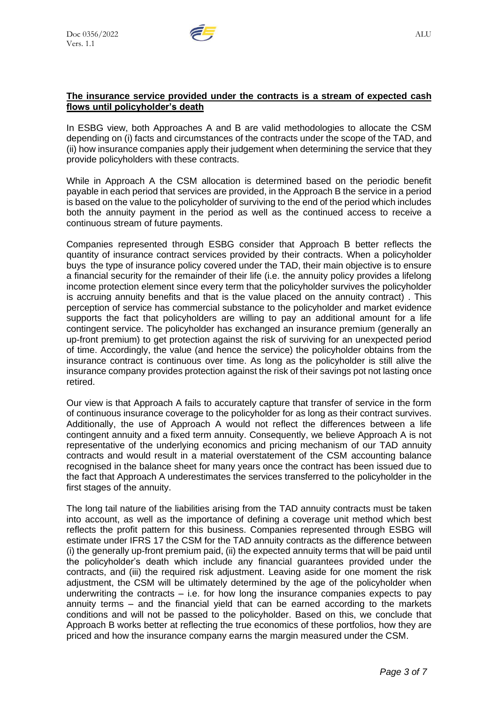

## **The insurance service provided under the contracts is a stream of expected cash flows until policyholder's death**

In ESBG view, both Approaches A and B are valid methodologies to allocate the CSM depending on (i) facts and circumstances of the contracts under the scope of the TAD, and (ii) how insurance companies apply their judgement when determining the service that they provide policyholders with these contracts.

While in Approach A the CSM allocation is determined based on the periodic benefit payable in each period that services are provided, in the Approach B the service in a period is based on the value to the policyholder of surviving to the end of the period which includes both the annuity payment in the period as well as the continued access to receive a continuous stream of future payments.

Companies represented through ESBG consider that Approach B better reflects the quantity of insurance contract services provided by their contracts. When a policyholder buys the type of insurance policy covered under the TAD, their main objective is to ensure a financial security for the remainder of their life (i.e. the annuity policy provides a lifelong income protection element since every term that the policyholder survives the policyholder is accruing annuity benefits and that is the value placed on the annuity contract) . This perception of service has commercial substance to the policyholder and market evidence supports the fact that policyholders are willing to pay an additional amount for a life contingent service. The policyholder has exchanged an insurance premium (generally an up-front premium) to get protection against the risk of surviving for an unexpected period of time. Accordingly, the value (and hence the service) the policyholder obtains from the insurance contract is continuous over time. As long as the policyholder is still alive the insurance company provides protection against the risk of their savings pot not lasting once retired.

Our view is that Approach A fails to accurately capture that transfer of service in the form of continuous insurance coverage to the policyholder for as long as their contract survives. Additionally, the use of Approach A would not reflect the differences between a life contingent annuity and a fixed term annuity. Consequently, we believe Approach A is not representative of the underlying economics and pricing mechanism of our TAD annuity contracts and would result in a material overstatement of the CSM accounting balance recognised in the balance sheet for many years once the contract has been issued due to the fact that Approach A underestimates the services transferred to the policyholder in the first stages of the annuity.

The long tail nature of the liabilities arising from the TAD annuity contracts must be taken into account, as well as the importance of defining a coverage unit method which best reflects the profit pattern for this business. Companies represented through ESBG will estimate under IFRS 17 the CSM for the TAD annuity contracts as the difference between (i) the generally up-front premium paid, (ii) the expected annuity terms that will be paid until the policyholder's death which include any financial guarantees provided under the contracts, and (iii) the required risk adjustment. Leaving aside for one moment the risk adjustment, the CSM will be ultimately determined by the age of the policyholder when underwriting the contracts  $-$  i.e. for how long the insurance companies expects to pay annuity terms – and the financial yield that can be earned according to the markets conditions and will not be passed to the policyholder. Based on this, we conclude that Approach B works better at reflecting the true economics of these portfolios, how they are priced and how the insurance company earns the margin measured under the CSM.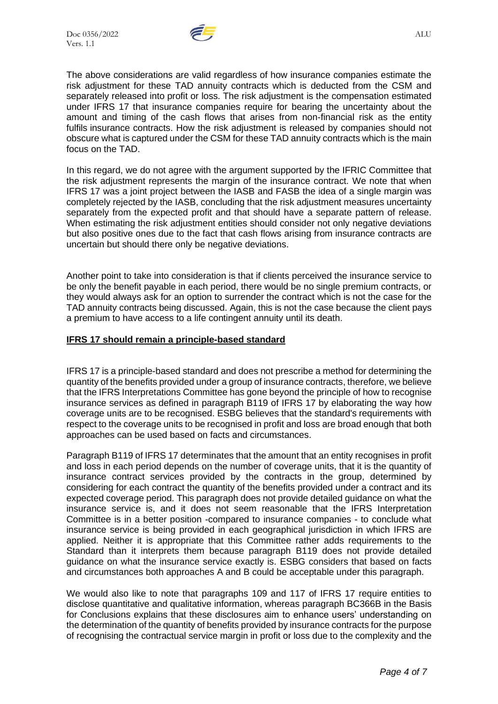

The above considerations are valid regardless of how insurance companies estimate the risk adjustment for these TAD annuity contracts which is deducted from the CSM and separately released into profit or loss. The risk adjustment is the compensation estimated under IFRS 17 that insurance companies require for bearing the uncertainty about the amount and timing of the cash flows that arises from non-financial risk as the entity fulfils [insurance contracts.](javascript:;) How the risk adjustment is released by companies should not obscure what is captured under the CSM for these TAD annuity contracts which is the main focus on the TAD.

In this regard, we do not agree with the argument supported by the IFRIC Committee that the risk adjustment represents the margin of the insurance contract. We note that when IFRS 17 was a joint project between the IASB and FASB the idea of a single margin was completely rejected by the IASB, concluding that the risk adjustment measures uncertainty separately from the expected profit and that should have a separate pattern of release. When estimating the risk adjustment entities should consider not only negative deviations but also positive ones due to the fact that cash flows arising from insurance contracts are uncertain but should there only be negative deviations.

Another point to take into consideration is that if clients perceived the insurance service to be only the benefit payable in each period, there would be no single premium contracts, or they would always ask for an option to surrender the contract which is not the case for the TAD annuity contracts being discussed. Again, this is not the case because the client pays a premium to have access to a life contingent annuity until its death.

## **IFRS 17 should remain a principle-based standard**

IFRS 17 is a principle-based standard and does not prescribe a method for determining the quantity of the benefits provided under a group of insurance contracts, therefore, we believe that the IFRS Interpretations Committee has gone beyond the principle of how to recognise insurance services as defined in paragraph B119 of IFRS 17 by elaborating the way how coverage units are to be recognised. ESBG believes that the standard's requirements with respect to the coverage units to be recognised in profit and loss are broad enough that both approaches can be used based on facts and circumstances.

Paragraph B119 of IFRS 17 determinates that the amount that an entity recognises in profit and loss in each period depends on the number of coverage units, that it is the quantity of insurance contract services provided by the contracts in the group, determined by considering for each contract the quantity of the benefits provided under a contract and its expected coverage period. This paragraph does not provide detailed guidance on what the insurance service is, and it does not seem reasonable that the IFRS Interpretation Committee is in a better position -compared to insurance companies - to conclude what insurance service is being provided in each geographical jurisdiction in which IFRS are applied. Neither it is appropriate that this Committee rather adds requirements to the Standard than it interprets them because paragraph B119 does not provide detailed guidance on what the insurance service exactly is. ESBG considers that based on facts and circumstances both approaches A and B could be acceptable under this paragraph.

We would also like to note that paragraphs 109 and 117 of IFRS 17 require entities to disclose quantitative and qualitative information, whereas paragraph BC366B in the Basis for Conclusions explains that these disclosures aim to enhance users' understanding on the determination of the quantity of benefits provided by insurance contracts for the purpose of recognising the contractual service margin in profit or loss due to the complexity and the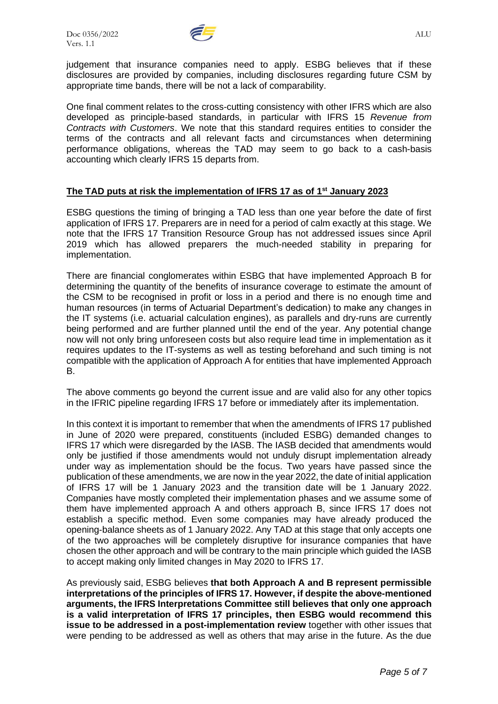

judgement that insurance companies need to apply. ESBG believes that if these disclosures are provided by companies, including disclosures regarding future CSM by appropriate time bands, there will be not a lack of comparability.

One final comment relates to the cross-cutting consistency with other IFRS which are also developed as principle-based standards, in particular with IFRS 15 *Revenue from Contracts with Customers*. We note that this standard requires entities to consider the terms of the contracts and all relevant facts and circumstances when determining performance obligations, whereas the TAD may seem to go back to a cash-basis accounting which clearly IFRS 15 departs from.

## **The TAD puts at risk the implementation of IFRS 17 as of 1st January 2023**

ESBG questions the timing of bringing a TAD less than one year before the date of first application of IFRS 17. Preparers are in need for a period of calm exactly at this stage. We note that the IFRS 17 Transition Resource Group has not addressed issues since April 2019 which has allowed preparers the much-needed stability in preparing for implementation.

There are financial conglomerates within ESBG that have implemented Approach B for determining the quantity of the benefits of insurance coverage to estimate the amount of the CSM to be recognised in profit or loss in a period and there is no enough time and human resources (in terms of Actuarial Department's dedication) to make any changes in the IT systems (i.e. actuarial calculation engines), as parallels and dry-runs are currently being performed and are further planned until the end of the year. Any potential change now will not only bring unforeseen costs but also require lead time in implementation as it requires updates to the IT-systems as well as testing beforehand and such timing is not compatible with the application of Approach A for entities that have implemented Approach B.

The above comments go beyond the current issue and are valid also for any other topics in the IFRIC pipeline regarding IFRS 17 before or immediately after its implementation.

In this context it is important to remember that when the amendments of IFRS 17 published in June of 2020 were prepared, constituents (included ESBG) demanded changes to IFRS 17 which were disregarded by the IASB. The IASB decided that amendments would only be justified if those amendments would not unduly disrupt implementation already under way as implementation should be the focus. Two years have passed since the publication of these amendments, we are now in the year 2022, the date of initial application of IFRS 17 will be 1 January 2023 and the transition date will be 1 January 2022. Companies have mostly completed their implementation phases and we assume some of them have implemented approach A and others approach B, since IFRS 17 does not establish a specific method. Even some companies may have already produced the opening-balance sheets as of 1 January 2022. Any TAD at this stage that only accepts one of the two approaches will be completely disruptive for insurance companies that have chosen the other approach and will be contrary to the main principle which guided the IASB to accept making only limited changes in May 2020 to IFRS 17.

As previously said, ESBG believes **that both Approach A and B represent permissible interpretations of the principles of IFRS 17. However, if despite the above-mentioned arguments, the IFRS Interpretations Committee still believes that only one approach is a valid interpretation of IFRS 17 principles, then ESBG would recommend this issue to be addressed in a post-implementation review** together with other issues that were pending to be addressed as well as others that may arise in the future. As the due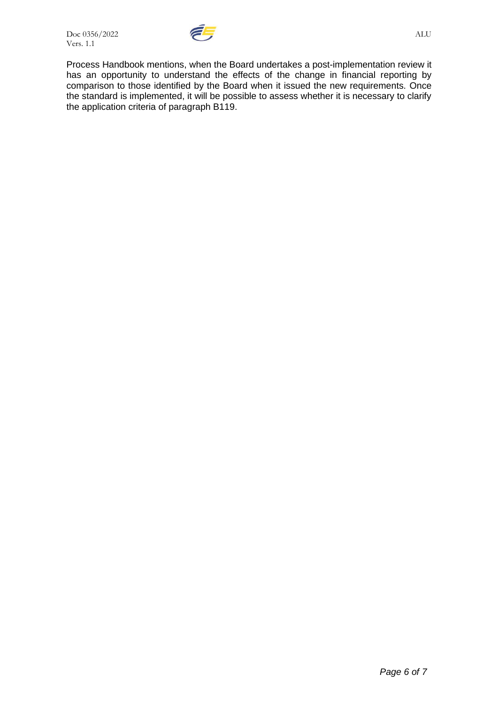

Process Handbook mentions, when the Board undertakes a post-implementation review it has an opportunity to understand the effects of the change in financial reporting by comparison to those identified by the Board when it issued the new requirements. Once the standard is implemented, it will be possible to assess whether it is necessary to clarify the application criteria of paragraph B119.